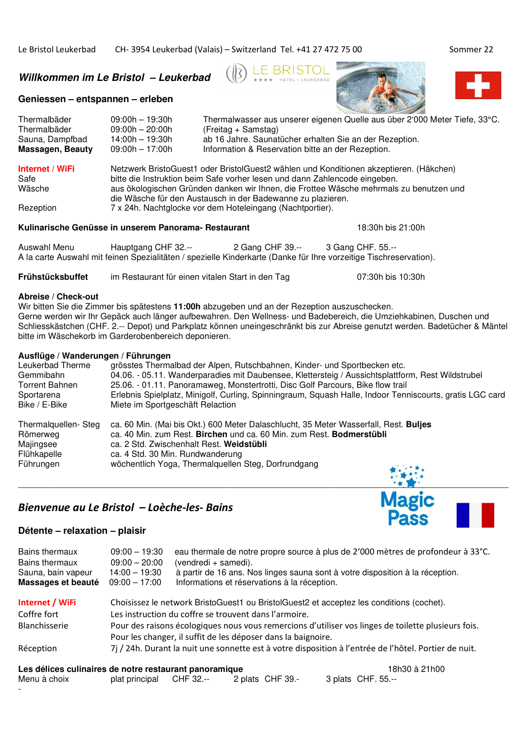**Willkommen im Le Bristol – Leukerbad** 

## **Geniessen – entspannen – erleben**





| Thermalbäder     | $09:00h - 19:30h$                                                                      | Thermalwasser aus unserer eigenen Quelle aus über 2'000 Meter Tiefe, 33°C.             |  |
|------------------|----------------------------------------------------------------------------------------|----------------------------------------------------------------------------------------|--|
| Thermalbäder     | $09:00h - 20:00h$                                                                      | (Freitag + Samstag)                                                                    |  |
| Sauna, Dampfbad  | $14:00h - 19:30h$                                                                      | ab 16 Jahre. Saunatücher erhalten Sie an der Rezeption.                                |  |
| Massagen, Beauty | 09:00h — 17:00h                                                                        | Information & Reservation bitte an der Rezeption.                                      |  |
| Internet / WiFi  |                                                                                        | Netzwerk BristoGuest1 oder BristolGuest2 wählen und Konditionen akzeptieren. (Häkchen) |  |
| Safe             | bitte die Instruktion beim Safe vorher lesen und dann Zahlencode eingeben.             |                                                                                        |  |
| Wäsche           | aus ökologischen Gründen danken wir Ihnen, die Frottee Wäsche mehrmals zu benutzen und |                                                                                        |  |
|                  |                                                                                        | die Wäsche für den Austausch in der Badewanne zu plazieren.                            |  |
| Rezeption        |                                                                                        | 7 x 24h. Nachtglocke vor dem Hoteleingang (Nachtportier).                              |  |

#### **Kulinarische Genüsse in unserem Panorama- Restaurant** 18:30h bis 21:00h

Auswahl Menu Hauptgang CHF 32.-- 2 Gang CHF 39.-- 3 Gang CHF. 55.-- A la carte Auswahl mit feinen Spezialitäten / spezielle Kinderkarte (Danke für Ihre vorzeitige Tischreservation).

**Frühstücksbuffet** im Restaurant für einen vitalen Start in den Tag 07:30h bis 10:30h

#### **Abreise / Check-out**

Wir bitten Sie die Zimmer bis spätestens **11:00h** abzugeben und an der Rezeption auszuschecken. Gerne werden wir Ihr Gepäck auch länger aufbewahren. Den Wellness- und Badebereich, die Umziehkabinen, Duschen und Schliesskästchen (CHF. 2.-- Depot) und Parkplatz können uneingeschränkt bis zur Abreise genutzt werden. Badetücher & Mäntel bitte im Wäschekorb im Garderobenbereich deponieren.

# **Ausflüge / Wanderungen / Führungen**

Leukerbad Therme grösstes Thermalbad der Alpen, Rutschbahnen, Kinder- und Sportbecken etc.<br>Gemmibahn (Aussichtsplattfor etc. - 05.11. Wanderparadies mit Daubensee. Klettersteig / Aussichtsplattfor Gemmibahn <sup>04.06</sup>. - 05.11. Wanderparadies mit Daubensee, Klettersteig / Aussichtsplattform, Rest Wildstrubel<br>Torrent Bahnen 25.06. - 01.11. Panoramaweg. Monstertrotti. Disc Golf Parcours. Bike flow trail Torrent Bahnen 25.06. - 01.11. Panoramaweg, Monstertrotti, Disc Golf Parcours, Bike flow trail<br>Sportarena **Erlebnis Spielplatz, Minigolf, Curling, Spinningraum**, Squash Halle, Indoor Tenr Erlebnis Spielplatz, Minigolf, Curling, Spinningraum, Squash Halle, Indoor Tenniscourts, gratis LGC card Bike / E-Bike Miete im Sportgeschäft Relaction Thermalquellen- Steg ca. 60 Min. (Mai bis Okt.) 600 Meter Dalaschlucht, 35 Meter Wasserfall, Rest. **Buljes** Römerweg ca. 40 Min. zum Rest. **Birchen** und ca. 60 Min. zum Rest. **Bodmerstübli** Majingsee ca. 2 Std. Zwischenhalt Rest. **Weidstübli** Flühkapelle ca. 4 Std. 30 Min. Rundwanderung Führungen wöchentlich Yoga, Thermalquellen Steg, Dorfrundgang

 $\_$  , and the set of the set of the set of the set of the set of the set of the set of the set of the set of the set of the set of the set of the set of the set of the set of the set of the set of the set of the set of th

# *Bienvenue au Le Bristol – Loèche-les- Bains*

#### **Détente – relaxation – plaisir**

| Bains thermaux<br>Bains thermaux<br>Sauna, bain vapeur<br>Massages et beauté | $09:00 - 19:30$<br>$09:00 - 20:00$<br>$14:00 - 19:30$<br>$09:00 - 17:00$                            | eau thermale de notre propre source à plus de 2'000 mètres de profondeur à 33°C.<br>(vendredi + samedi).<br>à partir de 16 ans. Nos linges sauna sont à votre disposition à la réception.<br>Informations et réservations à la réception. |               |
|------------------------------------------------------------------------------|-----------------------------------------------------------------------------------------------------|-------------------------------------------------------------------------------------------------------------------------------------------------------------------------------------------------------------------------------------------|---------------|
| Internet / WiFi                                                              |                                                                                                     | Choisissez le network BristoGuest1 ou BristolGuest2 et acceptez les conditions (cochet).                                                                                                                                                  |               |
| Coffre fort                                                                  | Les instruction du coffre se trouvent dans l'armoire.                                               |                                                                                                                                                                                                                                           |               |
| <b>Blanchisserie</b>                                                         | Pour des raisons écologiques nous vous remercions d'utiliser vos linges de toilette plusieurs fois. |                                                                                                                                                                                                                                           |               |
|                                                                              |                                                                                                     | Pour les changer, il suffit de les déposer dans la baignoire.                                                                                                                                                                             |               |
| Réception                                                                    |                                                                                                     | 7j / 24h. Durant la nuit une sonnette est à votre disposition à l'entrée de l'hôtel. Portier de nuit.                                                                                                                                     |               |
| Les délices culinaires de notre restaurant panoramique                       |                                                                                                     |                                                                                                                                                                                                                                           | 18h30 à 21h00 |

| Les delices culinaires de notre restaurant panoramique |                          |  |                  | T8030 a ZTr        |  |
|--------------------------------------------------------|--------------------------|--|------------------|--------------------|--|
| Menu à choix                                           | plat principal CHF 32.-- |  | 2 plats CHF 39.- | 3 plats CHF. 55.-- |  |
|                                                        |                          |  |                  |                    |  |